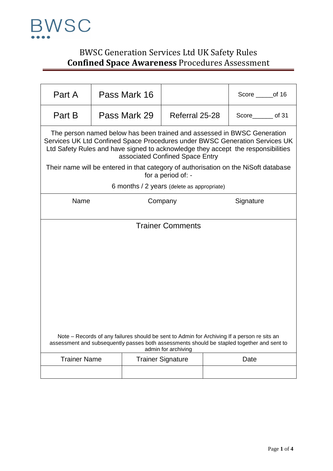

## BWSC Generation Services Ltd UK Safety Rules **Confined Space Awareness** Procedures Assessment

| Part A                                                                                                                                                                                                                                                                        |  | Pass Mark 16 |                                            | Score _______of 16                                                                  |
|-------------------------------------------------------------------------------------------------------------------------------------------------------------------------------------------------------------------------------------------------------------------------------|--|--------------|--------------------------------------------|-------------------------------------------------------------------------------------|
| Part B                                                                                                                                                                                                                                                                        |  | Pass Mark 29 | Referral 25-28                             | Score of 31                                                                         |
| The person named below has been trained and assessed in BWSC Generation<br>Services UK Ltd Confined Space Procedures under BWSC Generation Services UK<br>Ltd Safety Rules and have signed to acknowledge they accept the responsibilities<br>associated Confined Space Entry |  |              |                                            |                                                                                     |
|                                                                                                                                                                                                                                                                               |  |              | for a period of: -                         | Their name will be entered in that category of authorisation on the NiSoft database |
|                                                                                                                                                                                                                                                                               |  |              | 6 months / 2 years (delete as appropriate) |                                                                                     |
| Name                                                                                                                                                                                                                                                                          |  |              | Company                                    | Signature                                                                           |
|                                                                                                                                                                                                                                                                               |  |              |                                            |                                                                                     |
|                                                                                                                                                                                                                                                                               |  |              | <b>Trainer Comments</b>                    |                                                                                     |
|                                                                                                                                                                                                                                                                               |  |              |                                            |                                                                                     |
|                                                                                                                                                                                                                                                                               |  |              |                                            |                                                                                     |
|                                                                                                                                                                                                                                                                               |  |              |                                            |                                                                                     |
|                                                                                                                                                                                                                                                                               |  |              |                                            |                                                                                     |
|                                                                                                                                                                                                                                                                               |  |              |                                            |                                                                                     |
|                                                                                                                                                                                                                                                                               |  |              |                                            |                                                                                     |
|                                                                                                                                                                                                                                                                               |  |              |                                            |                                                                                     |
|                                                                                                                                                                                                                                                                               |  |              |                                            |                                                                                     |
| Note - Records of any failures should be sent to Admin for Archiving If a person re sits an<br>assessment and subsequently passes both assessments should be stapled together and sent to<br>admin for archiving                                                              |  |              |                                            |                                                                                     |
| <b>Trainer Name</b>                                                                                                                                                                                                                                                           |  |              | <b>Trainer Signature</b>                   | Date                                                                                |
|                                                                                                                                                                                                                                                                               |  |              |                                            |                                                                                     |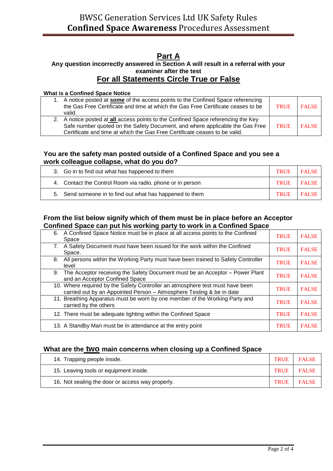### **Part A**

### **Any question incorrectly answered in Section A will result in a referral with your examiner after the test For all Statements Circle True or False**

#### **What is a Confined Space Notice**

| 1. A notice posted at some of the access points to the Confined Space referencing<br>the Gas Free Certificate and time at which the Gas Free Certificate ceases to be<br>valid. | TRUE | <b>FALSE</b> |
|---------------------------------------------------------------------------------------------------------------------------------------------------------------------------------|------|--------------|
| 2. A notice posted at all access points to the Confined Space referencing the Key<br>Safe number quoted on the Safety Document, and where applicable the Gas Free               | TRUE | <b>FALSE</b> |
| Certificate and time at which the Gas Free Certificate ceases to be valid.                                                                                                      |      |              |

### **You are the safety man posted outside of a Confined Space and you see a work colleague collapse, what do you do?**

| 3. Go in to find out what has happened to them            | <b>TRUE</b> | <b>FALSE</b> |
|-----------------------------------------------------------|-------------|--------------|
| 4. Contact the Control Room via radio, phone or in person | TRUE        | FALSE        |
| 5. Send someone in to find out what has happened to them  | TRUE        | <b>FALSE</b> |

### **From the list below signify which of them must be in place before an Acceptor Confined Space can put his working party to work in a Confined Space**

| A Confined Space Notice must be in place at all access points to the Confined<br>6.<br>Space                                                          | <b>TRUE</b> | <b>FALSE</b> |
|-------------------------------------------------------------------------------------------------------------------------------------------------------|-------------|--------------|
| A Safety Document must have been issued for the work within the Confined<br>7.<br>Space.                                                              | <b>TRUE</b> | <b>FALSE</b> |
| All persons within the Working Party must have been trained to Safety Controller<br>8.<br>level                                                       | <b>TRUE</b> | <b>FALSE</b> |
| The Acceptor receiving the Safety Document must be an Acceptor - Power Plant<br>9.<br>and an Acceptor Confined Space                                  | <b>TRUE</b> | <b>FALSE</b> |
| 10. Where required by the Safety Controller an atmosphere test must have been<br>carried out by an Appointed Person - Atmosphere Testing & be in date | <b>TRUE</b> | <b>FALSE</b> |
| 11. Breathing Apparatus must be worn by one member of the Working Party and<br>carried by the others                                                  | <b>TRUE</b> | <b>FALSE</b> |
| 12. There must be adequate lighting within the Confined Space                                                                                         | <b>TRUE</b> | <b>FALSE</b> |
| 13. A Standby Man must be In attendance at the entry point                                                                                            | <b>TRUE</b> | <b>FALSE</b> |

### **What are the two main concerns when closing up a Confined Space**

| 14. Trapping people inside.                      | TRUE        | <b>FALSE</b> |
|--------------------------------------------------|-------------|--------------|
| 15. Leaving tools or equipment inside.           | <b>TRUE</b> | <b>FALSE</b> |
| 16. Not sealing the door or access way properly. | TRUE        | <b>FALSE</b> |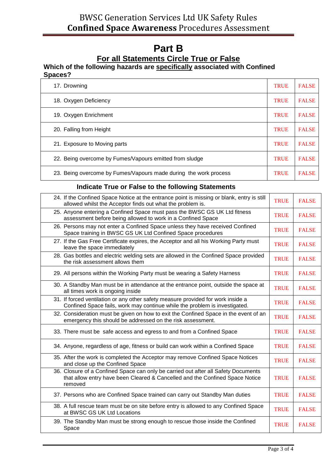# **Part B**

# **For all Statements Circle True or False**

### **Which of the following hazards are specifically associated with Confined Spaces?**

| 17. Drowning                                                     | <b>TRUE</b> | <b>FALSE</b> |
|------------------------------------------------------------------|-------------|--------------|
| 18. Oxygen Deficiency                                            | <b>TRUE</b> | <b>FALSE</b> |
| 19. Oxygen Enrichment                                            | <b>TRUE</b> | <b>FALSE</b> |
| 20. Falling from Height                                          | <b>TRUE</b> | <b>FALSE</b> |
| 21. Exposure to Moving parts                                     | <b>TRUE</b> | <b>FALSE</b> |
| 22. Being overcome by Fumes/Vapours emitted from sludge          | <b>TRUE</b> | <b>FALSE</b> |
| 23. Being overcome by Fumes/Vapours made during the work process | <b>TRUE</b> | <b>FALSE</b> |

### **Indicate True or False to the following Statements**

| 24. If the Confined Space Notice at the entrance point is missing or blank, entry is still<br>allowed whilst the Acceptor finds out what the problem is.                      | <b>TRUE</b> | <b>FALSE</b> |
|-------------------------------------------------------------------------------------------------------------------------------------------------------------------------------|-------------|--------------|
| 25. Anyone entering a Confined Space must pass the BWSC GS UK Ltd fitness<br>assessment before being allowed to work in a Confined Space                                      | <b>TRUE</b> | <b>FALSE</b> |
| 26. Persons may not enter a Confined Space unless they have received Confined<br>Space training in BWSC GS UK Ltd Confined Space procedures                                   | <b>TRUE</b> | <b>FALSE</b> |
| 27. If the Gas Free Certificate expires, the Acceptor and all his Working Party must<br>leave the space immediately                                                           | <b>TRUE</b> | <b>FALSE</b> |
| 28. Gas bottles and electric welding sets are allowed in the Confined Space provided<br>the risk assessment allows them                                                       | <b>TRUE</b> | <b>FALSE</b> |
| 29. All persons within the Working Party must be wearing a Safety Harness                                                                                                     | <b>TRUE</b> | <b>FALSE</b> |
| 30. A Standby Man must be in attendance at the entrance point, outside the space at<br>all times work is ongoing inside                                                       | <b>TRUE</b> | <b>FALSE</b> |
| 31. If forced ventilation or any other safety measure provided for work inside a<br>Confined Space fails, work may continue while the problem is investigated.                | <b>TRUE</b> | <b>FALSE</b> |
| 32. Consideration must be given on how to exit the Confined Space in the event of an<br>emergency this should be addressed on the risk assessment.                            | <b>TRUE</b> | <b>FALSE</b> |
| 33. There must be safe access and egress to and from a Confined Space                                                                                                         | <b>TRUE</b> | <b>FALSE</b> |
| 34. Anyone, regardless of age, fitness or build can work within a Confined Space                                                                                              | <b>TRUE</b> | <b>FALSE</b> |
| 35. After the work is completed the Acceptor may remove Confined Space Notices<br>and close up the Confined Space                                                             | <b>TRUE</b> | <b>FALSE</b> |
| 36. Closure of a Confined Space can only be carried out after all Safety Documents<br>that allow entry have been Cleared & Cancelled and the Confined Space Notice<br>removed | <b>TRUE</b> | <b>FALSE</b> |
| 37. Persons who are Confined Space trained can carry out Standby Man duties                                                                                                   | <b>TRUE</b> | <b>FALSE</b> |
| 38. A full rescue team must be on site before entry is allowed to any Confined Space<br>at BWSC GS UK Ltd Locations                                                           | <b>TRUE</b> | <b>FALSE</b> |
| 39. The Standby Man must be strong enough to rescue those inside the Confined<br>Space                                                                                        | <b>TRUE</b> | <b>FALSE</b> |